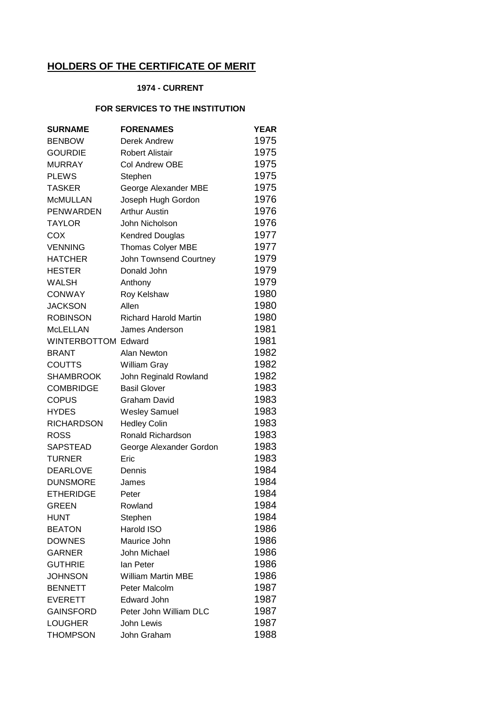## **HOLDERS OF THE CERTIFICATE OF MERIT**

## **1974 - CURRENT**

## **FOR SERVICES TO THE INSTITUTION**

| <b>SURNAME</b>             | <b>FORENAMES</b>             | <b>YEAR</b> |
|----------------------------|------------------------------|-------------|
| <b>BENBOW</b>              | <b>Derek Andrew</b>          | 1975        |
| <b>GOURDIE</b>             | <b>Robert Alistair</b>       | 1975        |
| <b>MURRAY</b>              | <b>Col Andrew OBE</b>        | 1975        |
| <b>PLEWS</b>               | Stephen                      | 1975        |
| <b>TASKER</b>              | George Alexander MBE         | 1975        |
| <b>McMULLAN</b>            | Joseph Hugh Gordon           | 1976        |
| <b>PENWARDEN</b>           | <b>Arthur Austin</b>         | 1976        |
| <b>TAYLOR</b>              | John Nicholson               | 1976        |
| <b>COX</b>                 | <b>Kendred Douglas</b>       | 1977        |
| <b>VENNING</b>             | <b>Thomas Colyer MBE</b>     | 1977        |
| <b>HATCHER</b>             | John Townsend Courtney       | 1979        |
| <b>HESTER</b>              | Donald John                  | 1979        |
| WALSH                      | Anthony                      | 1979        |
| <b>CONWAY</b>              | Roy Kelshaw                  | 1980        |
| <b>JACKSON</b>             | Allen                        | 1980        |
| <b>ROBINSON</b>            | <b>Richard Harold Martin</b> | 1980        |
| <b>McLELLAN</b>            | James Anderson               | 1981        |
| <b>WINTERBOTTOM Edward</b> |                              | 1981        |
| <b>BRANT</b>               | Alan Newton                  | 1982        |
| <b>COUTTS</b>              | William Gray                 | 1982        |
| <b>SHAMBROOK</b>           | John Reginald Rowland        | 1982        |
| <b>COMBRIDGE</b>           | <b>Basil Glover</b>          | 1983        |
| <b>COPUS</b>               | Graham David                 | 1983        |
| <b>HYDES</b>               | <b>Wesley Samuel</b>         | 1983        |
| <b>RICHARDSON</b>          | <b>Hedley Colin</b>          | 1983        |
| <b>ROSS</b>                | Ronald Richardson            | 1983        |
| <b>SAPSTEAD</b>            | George Alexander Gordon      | 1983        |
| <b>TURNER</b>              | Eric                         | 1983        |
| <b>DEARLOVE</b>            | Dennis                       | 1984        |
| <b>DUNSMORE</b>            | James                        | 1984        |
| <b>ETHERIDGE</b>           | Peter                        | 1984        |
| <b>GREEN</b>               | Rowland                      | 1984        |
| <b>HUNT</b>                | Stephen                      | 1984        |
| <b>BEATON</b>              | Harold ISO                   | 1986        |
| <b>DOWNES</b>              | Maurice John                 | 1986        |
| <b>GARNER</b>              | John Michael                 | 1986        |
| <b>GUTHRIE</b>             | lan Peter                    | 1986        |
| <b>JOHNSON</b>             | <b>William Martin MBE</b>    | 1986        |
| <b>BENNETT</b>             | Peter Malcolm                | 1987        |
| <b>EVERETT</b>             | Edward John                  | 1987        |
| <b>GAINSFORD</b>           | Peter John William DLC       | 1987        |
| <b>LOUGHER</b>             | John Lewis                   | 1987        |
| <b>THOMPSON</b>            | John Graham                  | 1988        |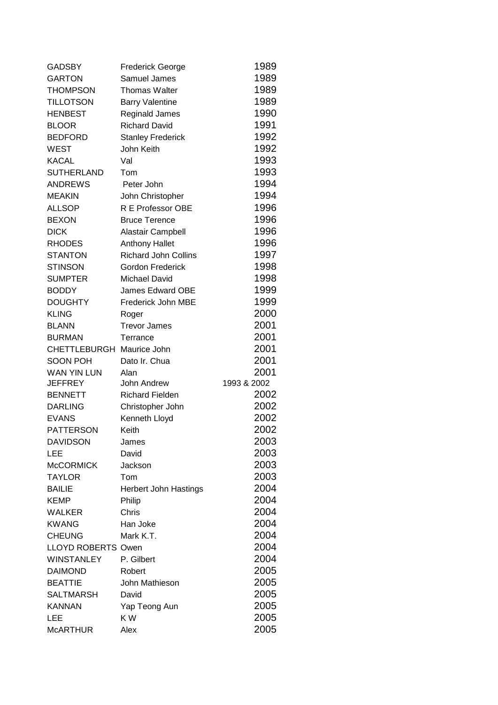| <b>GADSBY</b>             | <b>Frederick George</b>      | 1989         |
|---------------------------|------------------------------|--------------|
| <b>GARTON</b>             | Samuel James                 | 1989         |
| <b>THOMPSON</b>           | <b>Thomas Walter</b>         | 1989         |
| <b>TILLOTSON</b>          | <b>Barry Valentine</b>       | 1989         |
| <b>HENBEST</b>            | Reginald James               | 1990         |
| <b>BLOOR</b>              | <b>Richard David</b>         | 1991         |
| <b>BEDFORD</b>            | <b>Stanley Frederick</b>     | 1992         |
| <b>WEST</b>               | John Keith                   | 1992         |
| <b>KACAL</b>              | Val                          | 1993         |
| <b>SUTHERLAND</b>         | Tom                          | 1993         |
| <b>ANDREWS</b>            | Peter John                   | 1994         |
| <b>MEAKIN</b>             | John Christopher             | 1994         |
| <b>ALLSOP</b>             | R E Professor OBE            | 1996         |
| <b>BEXON</b>              | <b>Bruce Terence</b>         | 1996         |
| <b>DICK</b>               | Alastair Campbell            | 1996         |
| <b>RHODES</b>             | <b>Anthony Hallet</b>        | 1996         |
| <b>STANTON</b>            | <b>Richard John Collins</b>  | 1997         |
| <b>STINSON</b>            | Gordon Frederick             | 1998         |
| <b>SUMPTER</b>            | <b>Michael David</b>         | 1998         |
| <b>BODDY</b>              | <b>James Edward OBE</b>      | 1999         |
| <b>DOUGHTY</b>            | Frederick John MBE           | 1999         |
| <b>KLING</b>              | Roger                        | 2000         |
| <b>BLANN</b>              | <b>Trevor James</b>          | 2001         |
| <b>BURMAN</b>             | Terrance                     | 2001         |
| <b>CHETTLEBURGH</b>       | Maurice John                 | 2001         |
| <b>SOON POH</b>           | Dato Ir. Chua                | 2001         |
| <b>WAN YIN LUN</b>        | Alan                         | 2001         |
| <b>JEFFREY</b>            | John Andrew                  | 1993 & 2002  |
| <b>BENNETT</b>            | <b>Richard Fielden</b>       | 2002         |
| <b>DARLING</b>            | Christopher John             | 2002         |
| <b>EVANS</b>              |                              |              |
|                           | Kenneth Lloyd                | 2002         |
| <b>PATTERSON</b>          | Keith                        | 2002         |
| <b>DAVIDSON</b>           | James                        | 2003         |
| LEE                       | David                        | 2003         |
| <b>McCORMICK</b>          | Jackson                      | 2003         |
| <b>TAYLOR</b>             | Tom                          | 2003         |
| <b>BAILIE</b>             | <b>Herbert John Hastings</b> | 2004         |
| <b>KEMP</b>               | Philip                       | 2004         |
| <b>WALKER</b>             | Chris                        | 2004         |
| <b>KWANG</b>              | Han Joke                     | 2004         |
| <b>CHEUNG</b>             | Mark K.T.                    | 2004         |
| <b>LLOYD ROBERTS Owen</b> |                              | 2004         |
| <b>WINSTANLEY</b>         | P. Gilbert                   | 2004         |
| <b>DAIMOND</b>            | Robert                       | 2005         |
| <b>BEATTIE</b>            | John Mathieson               | 2005         |
| <b>SALTMARSH</b>          | David                        | 2005         |
| <b>KANNAN</b>             | Yap Teong Aun                | 2005         |
| LEE<br><b>McARTHUR</b>    | KW<br>Alex                   | 2005<br>2005 |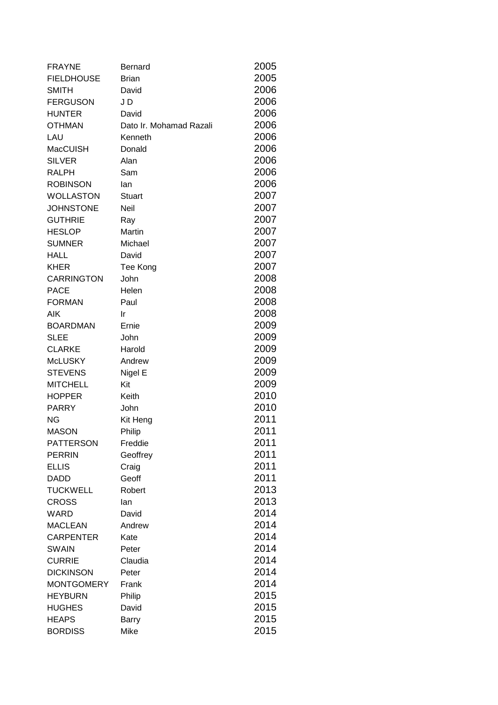| <b>FRAYNE</b>     | <b>Bernard</b>          | 2005 |
|-------------------|-------------------------|------|
| <b>FIELDHOUSE</b> | <b>Brian</b>            | 2005 |
| <b>SMITH</b>      | David                   | 2006 |
| <b>FERGUSON</b>   | J D                     | 2006 |
| <b>HUNTER</b>     | David                   | 2006 |
| <b>OTHMAN</b>     | Dato Ir. Mohamad Razali | 2006 |
| LAU               | Kenneth                 | 2006 |
| MacCUISH          | Donald                  | 2006 |
| <b>SILVER</b>     | Alan                    | 2006 |
| <b>RALPH</b>      | Sam                     | 2006 |
| <b>ROBINSON</b>   | lan                     | 2006 |
| <b>WOLLASTON</b>  | <b>Stuart</b>           | 2007 |
| <b>JOHNSTONE</b>  | Neil                    | 2007 |
| <b>GUTHRIE</b>    | Ray                     | 2007 |
| <b>HESLOP</b>     | Martin                  | 2007 |
| <b>SUMNER</b>     | Michael                 | 2007 |
| <b>HALL</b>       | David                   | 2007 |
| <b>KHER</b>       | Tee Kong                | 2007 |
| <b>CARRINGTON</b> | John                    | 2008 |
| <b>PACE</b>       | Helen                   | 2008 |
| <b>FORMAN</b>     | Paul                    | 2008 |
| AIK               | Ir                      | 2008 |
| <b>BOARDMAN</b>   | Ernie                   | 2009 |
| <b>SLEE</b>       | John                    | 2009 |
| <b>CLARKE</b>     | Harold                  | 2009 |
| <b>McLUSKY</b>    | Andrew                  | 2009 |
| <b>STEVENS</b>    | Nigel E                 | 2009 |
| <b>MITCHELL</b>   | Kit                     | 2009 |
| <b>HOPPER</b>     | Keith                   | 2010 |
| <b>PARRY</b>      | John                    | 2010 |
| <b>NG</b>         | Kit Heng                | 2011 |
| <b>MASON</b>      | Philip                  | 2011 |
| <b>PATTERSON</b>  | Freddie                 | 2011 |
| <b>PERRIN</b>     | Geoffrey                | 2011 |
| <b>ELLIS</b>      | Craig                   | 2011 |
| <b>DADD</b>       | Geoff                   | 2011 |
| <b>TUCKWELL</b>   | Robert                  | 2013 |
| <b>CROSS</b>      | lan                     | 2013 |
| WARD              | David                   | 2014 |
| <b>MACLEAN</b>    | Andrew                  | 2014 |
| <b>CARPENTER</b>  | Kate                    | 2014 |
| <b>SWAIN</b>      | Peter                   | 2014 |
| <b>CURRIE</b>     | Claudia                 | 2014 |
| <b>DICKINSON</b>  | Peter                   | 2014 |
| <b>MONTGOMERY</b> | Frank                   | 2014 |
| <b>HEYBURN</b>    | Philip                  | 2015 |
| <b>HUGHES</b>     | David                   | 2015 |
| <b>HEAPS</b>      | <b>Barry</b>            | 2015 |
| <b>BORDISS</b>    | Mike                    | 2015 |
|                   |                         |      |